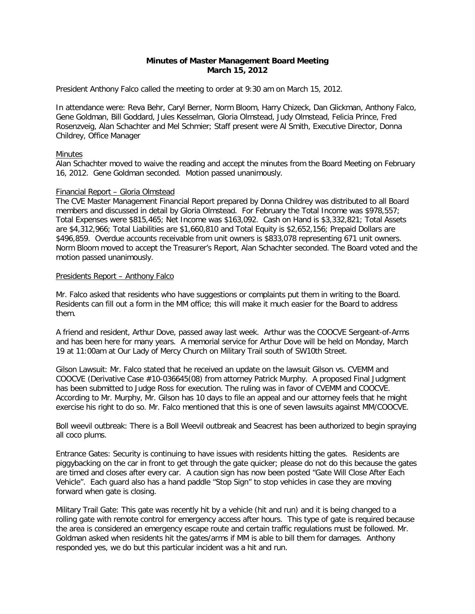# **Minutes of Master Management Board Meeting March 15, 2012**

President Anthony Falco called the meeting to order at 9:30 am on March 15, 2012.

In attendance were: Reva Behr, Caryl Berner, Norm Bloom, Harry Chizeck, Dan Glickman, Anthony Falco, Gene Goldman, Bill Goddard, Jules Kesselman, Gloria Olmstead, Judy Olmstead, Felicia Prince, Fred Rosenzveig, Alan Schachter and Mel Schmier; Staff present were Al Smith, Executive Director, Donna Childrey, Office Manager

### Minutes

Alan Schachter moved to waive the reading and accept the minutes from the Board Meeting on February 16, 2012. Gene Goldman seconded. Motion passed unanimously.

# Financial Report – Gloria Olmstead

The CVE Master Management Financial Report prepared by Donna Childrey was distributed to all Board members and discussed in detail by Gloria Olmstead. For February the Total Income was \$978,557; Total Expenses were \$815,465; Net Income was \$163,092. Cash on Hand is \$3,332,821; Total Assets are \$4,312,966; Total Liabilities are \$1,660,810 and Total Equity is \$2,652,156; Prepaid Dollars are \$496,859. Overdue accounts receivable from unit owners is \$833,078 representing 671 unit owners. Norm Bloom moved to accept the Treasurer's Report, Alan Schachter seconded. The Board voted and the motion passed unanimously.

### Presidents Report – Anthony Falco

Mr. Falco asked that residents who have suggestions or complaints put them in writing to the Board. Residents can fill out a form in the MM office; this will make it much easier for the Board to address them.

A friend and resident, Arthur Dove, passed away last week. Arthur was the COOCVE Sergeant-of-Arms and has been here for many years. A memorial service for Arthur Dove will be held on Monday, March 19 at 11:00am at Our Lady of Mercy Church on Military Trail south of SW10th Street.

Gilson Lawsuit: Mr. Falco stated that he received an update on the lawsuit Gilson vs. CVEMM and COOCVE (Derivative Case #10-036645(08) from attorney Patrick Murphy. A proposed Final Judgment has been submitted to Judge Ross for execution. The ruling was in favor of CVEMM and COOCVE. According to Mr. Murphy, Mr. Gilson has 10 days to file an appeal and our attorney feels that he might exercise his right to do so. Mr. Falco mentioned that this is one of seven lawsuits against MM/COOCVE.

Boll weevil outbreak: There is a Boll Weevil outbreak and Seacrest has been authorized to begin spraying all coco plums.

Entrance Gates: Security is continuing to have issues with residents hitting the gates. Residents are piggybacking on the car in front to get through the gate quicker; please do not do this because the gates are timed and closes after every car. A caution sign has now been posted "Gate Will Close After Each Vehicle". Each guard also has a hand paddle "Stop Sign" to stop vehicles in case they are moving forward when gate is closing.

Military Trail Gate: This gate was recently hit by a vehicle (hit and run) and it is being changed to a rolling gate with remote control for emergency access after hours. This type of gate is required because the area is considered an emergency escape route and certain traffic regulations must be followed. Mr. Goldman asked when residents hit the gates/arms if MM is able to bill them for damages. Anthony responded yes, we do but this particular incident was a hit and run.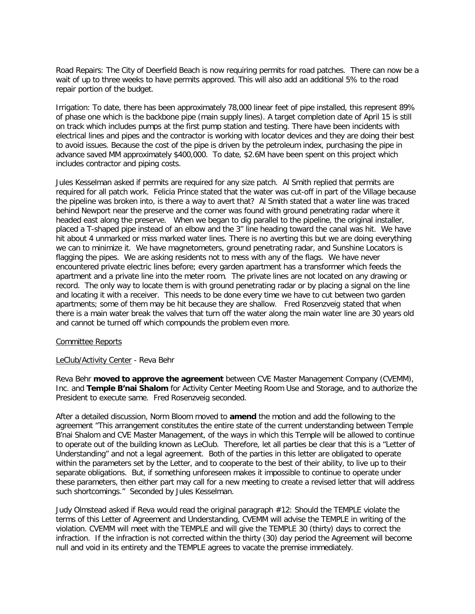Road Repairs: The City of Deerfield Beach is now requiring permits for road patches. There can now be a wait of up to three weeks to have permits approved. This will also add an additional 5% to the road repair portion of the budget.

Irrigation: To date, there has been approximately 78,000 linear feet of pipe installed, this represent 89% of phase one which is the backbone pipe (main supply lines). A target completion date of April 15 is still on track which includes pumps at the first pump station and testing. There have been incidents with electrical lines and pipes and the contractor is working with locator devices and they are doing their best to avoid issues. Because the cost of the pipe is driven by the petroleum index, purchasing the pipe in advance saved MM approximately \$400,000. To date, \$2.6M have been spent on this project which includes contractor and piping costs.

Jules Kesselman asked if permits are required for any size patch. Al Smith replied that permits are required for all patch work. Felicia Prince stated that the water was cut-off in part of the Village because the pipeline was broken into, is there a way to avert that? Al Smith stated that a water line was traced behind Newport near the preserve and the corner was found with ground penetrating radar where it headed east along the preserve. When we began to dig parallel to the pipeline, the original installer, placed a T-shaped pipe instead of an elbow and the 3" line heading toward the canal was hit. We have hit about 4 unmarked or miss marked water lines. There is no averting this but we are doing everything we can to minimize it. We have magnetometers, ground penetrating radar, and Sunshine Locators is flagging the pipes. We are asking residents not to mess with any of the flags. We have never encountered private electric lines before; every garden apartment has a transformer which feeds the apartment and a private line into the meter room. The private lines are not located on any drawing or record. The only way to locate them is with ground penetrating radar or by placing a signal on the line and locating it with a receiver. This needs to be done every time we have to cut between two garden apartments; some of them may be hit because they are shallow. Fred Rosenzveig stated that when there is a main water break the valves that turn off the water along the main water line are 30 years old and cannot be turned off which compounds the problem even more.

### Committee Reports

### LeClub/Activity Center - Reva Behr

Reva Behr **moved to approve the agreement** between CVE Master Management Company (CVEMM), Inc. and **Temple B'nai Shalom** for Activity Center Meeting Room Use and Storage, and to authorize the President to execute same. Fred Rosenzveig seconded.

After a detailed discussion, Norm Bloom moved to **amend** the motion and add the following to the agreement "This arrangement constitutes the entire state of the current understanding between Temple B'nai Shalom and CVE Master Management, of the ways in which this Temple will be allowed to continue to operate out of the building known as LeClub. Therefore, let all parties be clear that this is a "Letter of Understanding" and not a legal agreement. Both of the parties in this letter are obligated to operate within the parameters set by the Letter, and to cooperate to the best of their ability, to live up to their separate obligations. But, if something unforeseen makes it impossible to continue to operate under these parameters, then either part may call for a new meeting to create a revised letter that will address such shortcomings." Seconded by Jules Kesselman.

Judy Olmstead asked if Reva would read the original paragraph #12: Should the TEMPLE violate the terms of this Letter of Agreement and Understanding, CVEMM will advise the TEMPLE in writing of the violation. CVEMM will meet with the TEMPLE and will give the TEMPLE 30 (thirty) days to correct the infraction. If the infraction is not corrected within the thirty (30) day period the Agreement will become null and void in its entirety and the TEMPLE agrees to vacate the premise immediately.